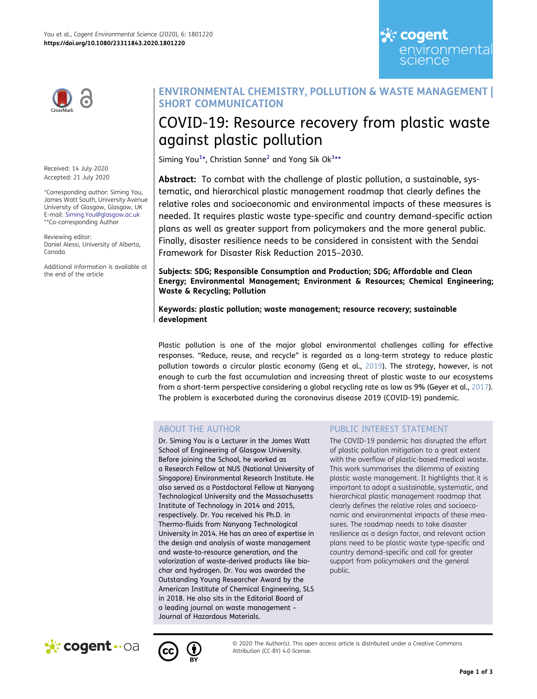

Received: 14 July 2020 Accepted: 21 July 2020

\*Corresponding author: Siming You, James Watt South, University Avenue University of Glasgow, Glasgow, UK E-mail: Siming.You@glasgow.ac.uk \*\*Co-corresponding Author

Reviewing editor: Daniel Alessi, University of Alberta, Canada

Additional information is available at the end of the article

## **ENVIRONMENTAL CHEMISTRY, POLLUTION & WASTE MANAGEMENT | SHORT COMMUNICATION**

# COVID-19: Resource recovery from plastic waste against plastic pollution

<span id="page-0-0"></span>Siming You<sup>[1](#page-1-0)</sup>\*, Christian Sonne<sup>[2](#page-1-1)</sup> and Yong Sik Ok<sup>3</sup>\*\*

**Abstract:** To combat with the challenge of plastic pollution, a sustainable, systematic, and hierarchical plastic management roadmap that clearly defines the relative roles and socioeconomic and environmental impacts of these measures is needed. It requires plastic waste type-specific and country demand-specific action plans as well as greater support from policymakers and the more general public. Finally, disaster resilience needs to be considered in consistent with the Sendai Framework for Disaster Risk Reduction 2015–2030.

**Subjects: SDG; Responsible Consumption and Production; SDG; Affordable and Clean Energy; Environmental Management; Environment & Resources; Chemical Engineering; Waste & Recycling; Pollution** 

**Keywords: plastic pollution; waste management; resource recovery; sustainable development**

<span id="page-0-2"></span><span id="page-0-1"></span>Plastic pollution is one of the major global environmental challenges calling for effective responses. "Reduce, reuse, and recycle" is regarded as a long-term strategy to reduce plastic pollution towards a circular plastic economy (Geng et al., [2019\)](#page-2-0). The strategy, however, is not enough to curb the fast accumulation and increasing threat of plastic waste to our ecosystems from a short-term perspective considering a global recycling rate as low as 9% (Geyer et al., [2017\)](#page-2-1). The problem is exacerbated during the coronavirus disease 2019 (COVID-19) pandemic.

## ABOUT THE AUTHOR

Dr. Siming You is a Lecturer in the James Watt School of Engineering of Glasgow University. Before joining the School, he worked as a Research Fellow at NUS (National University of Singapore) Environmental Research Institute. He also served as a Postdoctoral Fellow at Nanyang Technological University and the Massachusetts Institute of Technology in 2014 and 2015, respectively. Dr. You received his Ph.D. in Thermo-fluids from Nanyang Technological University in 2014. He has an area of expertise in the design and analysis of waste management and waste-to-resource generation, and the valorization of waste-derived products like biochar and hydrogen. Dr. You was awarded the Outstanding Young Researcher Award by the American Institute of Chemical Engineering, SLS in 2018. He also sits in the Editorial Board of a leading journal on waste management – Journal of Hazardous Materials.

## PUBLIC INTEREST STATEMENT

The COVID-19 pandemic has disrupted the effort of plastic pollution mitigation to a great extent with the overflow of plastic-based medical waste. This work summarises the dilemma of existing plastic waste management. It highlights that it is important to adopt a sustainable, systematic, and hierarchical plastic management roadmap that clearly defines the relative roles and socioeconomic and environmental impacts of these measures. The roadmap needs to take disaster resilience as a design factor, and relevant action plans need to be plastic waste type-specific and country demand-specific and call for greater support from policymakers and the general public.

<u>्</u>रं∵ cogent

science

environmental





© 2020 The Author(s). This open access article is distributed under a Creative Commons Attribution (CC-BY) 4.0 license.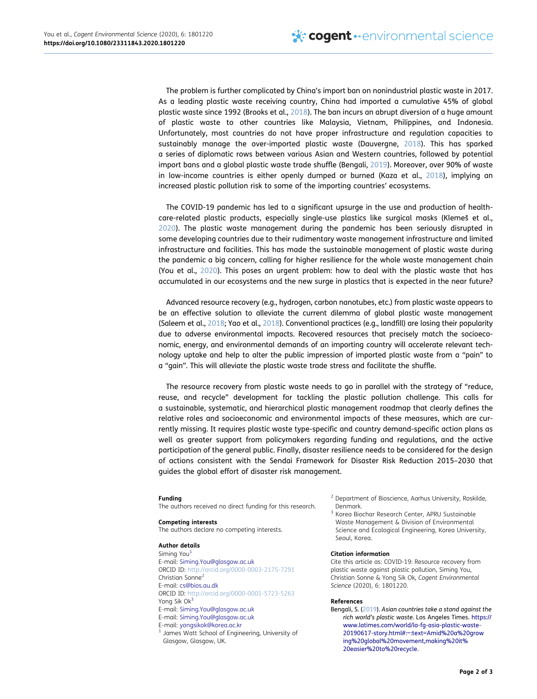<span id="page-1-6"></span><span id="page-1-5"></span>The problem is further complicated by China's import ban on nonindustrial plastic waste in 2017. As a leading plastic waste receiving country, China had imported a cumulative 45% of global plastic waste since 1992 (Brooks et al., [2018](#page-2-2)). The ban incurs an abrupt diversion of a huge amount of plastic waste to other countries like Malaysia, Vietnam, Philippines, and Indonesia. Unfortunately, most countries do not have proper infrastructure and regulation capacities to sustainably manage the over-imported plastic waste (Dauvergne, [2018\)](#page-2-3). This has sparked a series of diplomatic rows between various Asian and Western countries, followed by potential import bans and a global plastic waste trade shuffle (Bengali, [2019\)](#page-1-3). Moreover, over 90% of waste in low-income countries is either openly dumped or burned (Kaza et al., [2018\)](#page-2-4), implying an increased plastic pollution risk to some of the importing countries' ecosystems.

<span id="page-1-8"></span><span id="page-1-7"></span><span id="page-1-4"></span>The COVID-19 pandemic has led to a significant upsurge in the use and production of healthcare-related plastic products, especially single-use plastics like surgical masks (Klemeš et al., [2020](#page-2-5)). The plastic waste management during the pandemic has been seriously disrupted in some developing countries due to their rudimentary waste management infrastructure and limited infrastructure and facilities. This has made the sustainable management of plastic waste during the pandemic a big concern, calling for higher resilience for the whole waste management chain (You et al., [2020\)](#page-2-6). This poses an urgent problem: how to deal with the plastic waste that has accumulated in our ecosystems and the new surge in plastics that is expected in the near future?

<span id="page-1-10"></span><span id="page-1-9"></span>Advanced resource recovery (e.g., hydrogen, carbon nanotubes, etc.) from plastic waste appears to be an effective solution to alleviate the current dilemma of global plastic waste management (Saleem et al., [2018;](#page-2-7) Yao et al., [2018](#page-2-8)). Conventional practices (e.g., landfill) are losing their popularity due to adverse environmental impacts. Recovered resources that precisely match the socioeconomic, energy, and environmental demands of an importing country will accelerate relevant technology uptake and help to alter the public impression of imported plastic waste from a "pain" to a "gain". This will alleviate the plastic waste trade stress and facilitate the shuffle.

The resource recovery from plastic waste needs to go in parallel with the strategy of "reduce, reuse, and recycle" development for tackling the plastic pollution challenge. This calls for a sustainable, systematic, and hierarchical plastic management roadmap that clearly defines the relative roles and socioeconomic and environmental impacts of these measures, which are currently missing. It requires plastic waste type-specific and country demand-specific action plans as well as greater support from policymakers regarding funding and regulations, and the active participation of the general public. Finally, disaster resilience needs to be considered for the design of actions consistent with the Sendai Framework for Disaster Risk Reduction 2015–2030 that guides the global effort of disaster risk management.

#### **Funding**

The authors received no direct funding for this research.

#### **Competing interests**

The authors declare no competing interests.

#### **Author details**

<span id="page-1-2"></span><span id="page-1-1"></span><span id="page-1-0"></span>Siming You<sup>[1](#page-0-0)</sup> E-mail: Siming.You@glasgow.ac.uk ORCID ID: http://orcid.org/0000-0003-2175-7291 Christian Sonne[2](#page-0-0) E-mail: cs@bios.au.dk ORCID ID: http://orcid.org/0000-0001-5723-5263 Yong Sik Ok<sup>3</sup> E-mail: Siming.You@glasgow.ac.uk E-mail: Siming.You@glasgow.ac.uk James Watt School of Engineering, University of Glasgow, Glasgow, UK.

- <sup>2</sup> Department of Bioscience, Aarhus University, Roskilde, Denmark.
- 3 Korea Biochar Research Center, APRU Sustainable Waste Management & Division of Environmental Science and Ecological Engineering, Korea University, Seoul, Korea.

#### **Citation information**

Cite this article as: COVID-19: Resource recovery from plastic waste against plastic pollution, Siming You, Christian Sonne & Yong Sik Ok*, Cogent Environmental Science* (2020), 6: 1801220.

#### **References**

<span id="page-1-3"></span>Bengali, S. ([2019\)](#page-1-4). *Asian countries take a stand against the rich world's plastic waste*. Los Angeles Times. https:// www.latimes.com/world/la-fg-asia-plastic-waste-20190617-story.html#:~:text=Amid%20a%20grow ing%20global%20movement,making%20it% 20easier%20to%20recycle.